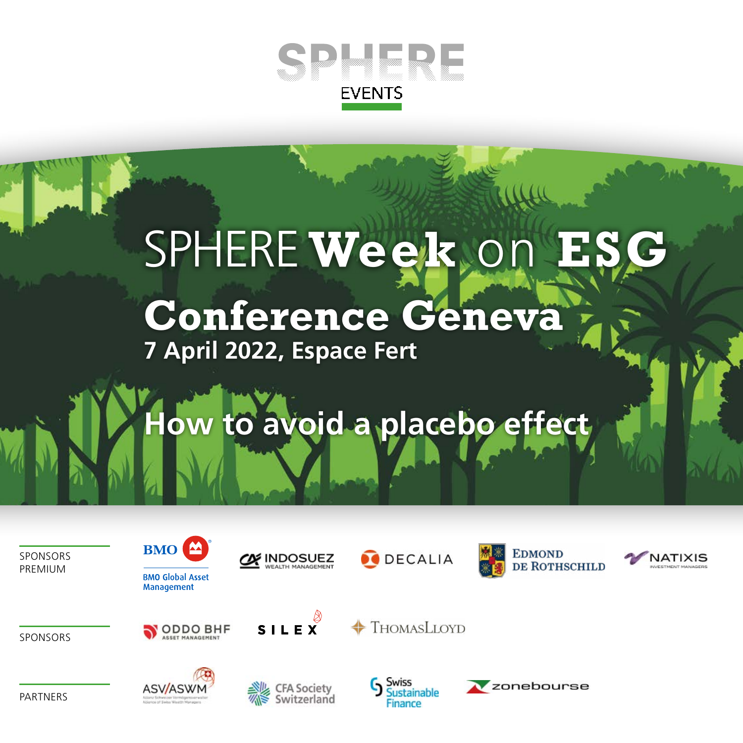

# SPHERE Week on **Conference Geneva**

**7 April 2022, Espace Fert**

## **How to avoid a placebo effect**

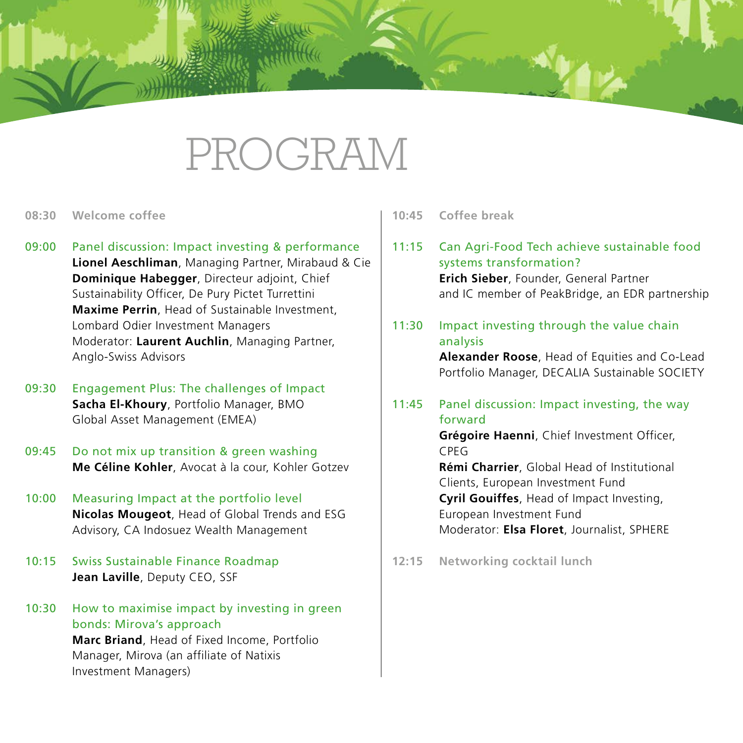### PROGRAM

- **08:30 Welcome coffee**
- 09:00 Panel discussion: Impact investing & performance **Lionel Aeschliman**, Managing Partner, Mirabaud & Cie **Dominique Habegger**, Directeur adjoint, Chief Sustainability Officer, De Pury Pictet Turrettini **Maxime Perrin**, Head of Sustainable Investment, Lombard Odier Investment Managers Moderator: **Laurent Auchlin**, Managing Partner, Anglo-Swiss Advisors
- 09:30 Engagement Plus: The challenges of Impact **Sacha El-Khoury**, Portfolio Manager, BMO Global Asset Management (EMEA)
- 09:45 Do not mix up transition & green washing **Me Céline Kohler**, Avocat à la cour, Kohler Gotzev
- 10:00 Measuring Impact at the portfolio level **Nicolas Mougeot**, Head of Global Trends and ESG Advisory, CA Indosuez Wealth Management
- 10:15 Swiss Sustainable Finance Roadmap **Jean Laville**, Deputy CEO, SSF
- 10:30 How to maximise impact by investing in green bonds: Mirova's approach **Marc Briand**, Head of Fixed Income, Portfolio Manager, Mirova (an affiliate of Natixis Investment Managers)

**10:45 Coffee break**

- 11:15 Can Agri-Food Tech achieve sustainable food systems transformation? **Erich Sieber**, Founder, General Partner and IC member of PeakBridge, an EDR partnership
- 11:30 Impact investing through the value chain analysis

**Alexander Roose**, Head of Equities and Co-Lead Portfolio Manager, DECALIA Sustainable SOCIETY

11:45 Panel discussion: Impact investing, the way forward

**Grégoire Haenni**, Chief Investment Officer, CPEG

**Rémi Charrier**, Global Head of Institutional Clients, European Investment Fund **Cyril Gouiffes**, Head of Impact Investing, European Investment Fund Moderator: **Elsa Floret**, Journalist, SPHERE

**12:15 Networking cocktail lunch**